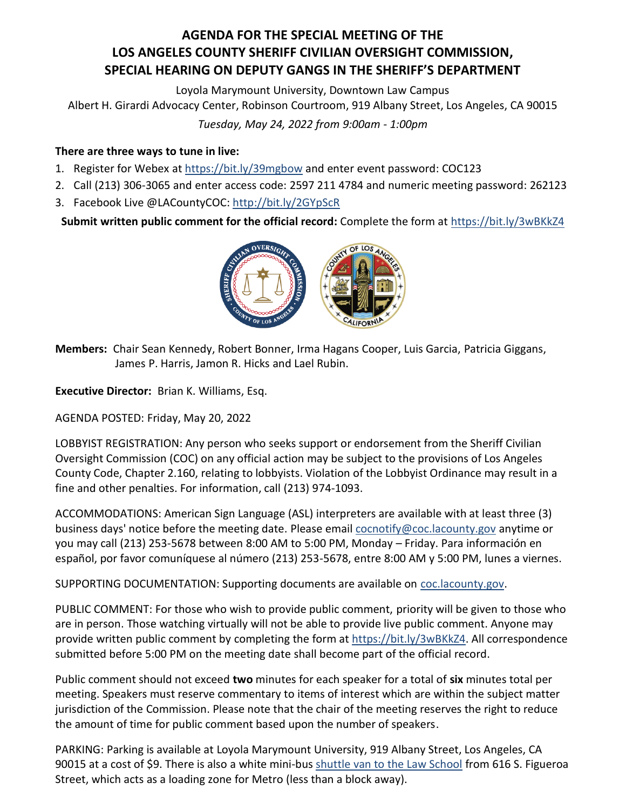## **AGENDA FOR THE SPECIAL MEETING OF THE LOS ANGELES COUNTY SHERIFF CIVILIAN OVERSIGHT COMMISSION, SPECIAL HEARING ON DEPUTY GANGS IN THE SHERIFF'S DEPARTMENT**

Loyola Marymount University, Downtown Law Campus

Albert H. Girardi Advocacy Center, Robinson Courtroom, 919 Albany Street, Los Angeles, CA 90015

*Tuesday, May 24, 2022 from 9:00am - 1:00pm*

## **There are three ways to tune in live:**

- 1. Register for Webex at <https://bit.ly/39mgbow> and enter event password: COC123
- 2. Call (213) 306-3065 and enter access code: 2597 211 4784 and numeric meeting password: 262123
- 3. Facebook Live @LACountyCOC:<http://bit.ly/2GYpScR>

**Submit written public comment for the official record:** Complete the form a[t https://bit.ly/3wBKkZ4](https://bit.ly/3wBKkZ4)



**Members:** Chair Sean Kennedy, Robert Bonner, Irma Hagans Cooper, Luis Garcia, Patricia Giggans, James P. Harris, Jamon R. Hicks and Lael Rubin.

**Executive Director:** Brian K. Williams, Esq.

AGENDA POSTED: Friday, May 20, 2022

LOBBYIST REGISTRATION: Any person who seeks support or endorsement from the Sheriff Civilian Oversight Commission (COC) on any official action may be subject to the provisions of Los Angeles County Code, Chapter 2.160, relating to lobbyists. Violation of the Lobbyist Ordinance may result in a fine and other penalties. For information, call (213) 974-1093.

ACCOMMODATIONS: American Sign Language (ASL) interpreters are available with at least three (3) business days' notice before the meeting date. Please emai[l cocnotify@coc.lacounty.gov](mailto:cocnotify@coc.lacounty.gov) anytime or you may call (213) 253-5678 between 8:00 AM to 5:00 PM, Monday – Friday. Para información en español, por favor comuníquese al número (213) 253-5678, entre 8:00 AM y 5:00 PM, lunes a viernes.

SUPPORTING DOCUMENTATION: Supporting documents are available on [coc.lacounty.gov.](https://coc.lacounty.gov/)

PUBLIC COMMENT: For those who wish to provide public comment, priority will be given to those who are in person. Those watching virtually will not be able to provide live public comment. Anyone may provide written public comment by completing the form at [https://bit.ly/3wBKkZ4.](https://bit.ly/3wBKkZ4) All correspondence submitted before 5:00 PM on the meeting date shall become part of the official record.

Public comment should not exceed **two** minutes for each speaker for a total of **six** minutes total per meeting. Speakers must reserve commentary to items of interest which are within the subject matter jurisdiction of the Commission. Please note that the chair of the meeting reserves the right to reduce the amount of time for public comment based upon the number of speakers.

PARKING: Parking is available at Loyola Marymount University, 919 Albany Street, Los Angeles, CA 90015 at a cost of \$9. There is also a white mini-bus [shuttle van to the Law School](https://campusoperations.lls.edu/parking-transportation/shuttle) from 616 S. Figueroa Street, which acts as a loading zone for Metro (less than a block away).